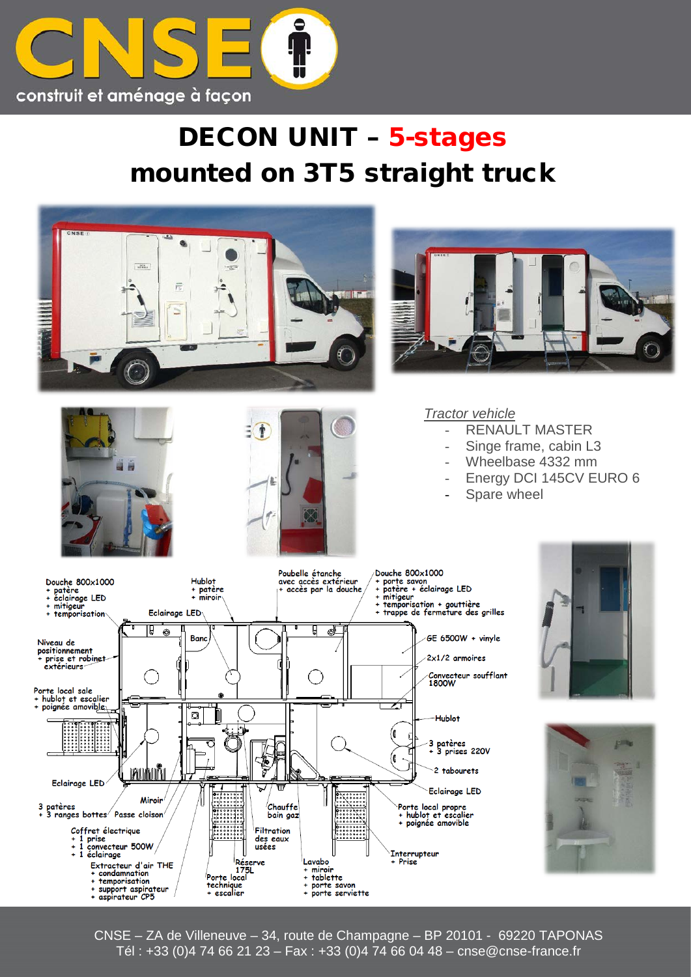

## DECON UNIT – 5-stages mounted on 3T5 straight truck



CNSE – ZA de Villeneuve – 34, route de Champagne – BP 20101 - 69220 TAPONAS Tél : +33 (0)4 74 66 21 23 – Fax : +33 (0)4 74 66 04 48 – cnse@cnse-france.fr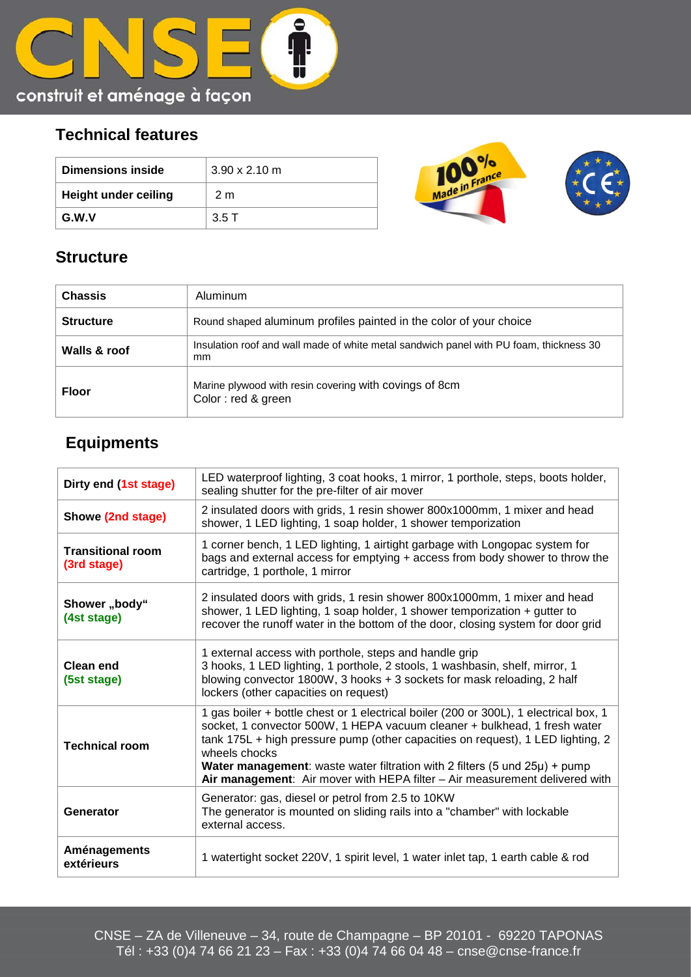

## **Technical features**

| Dimensions inside           | $3.90 \times 2.10$ m |
|-----------------------------|----------------------|
| <b>Height under ceiling</b> | 2 <sub>m</sub>       |
| G.W.V                       | 3.5T                 |



## **Structure**

| <b>Chassis</b>   | Aluminum                                                                                     |
|------------------|----------------------------------------------------------------------------------------------|
| <b>Structure</b> | Round shaped aluminum profiles painted in the color of your choice                           |
| Walls & roof     | Insulation roof and wall made of white metal sandwich panel with PU foam, thickness 30<br>mm |
| <b>Floor</b>     | Marine plywood with resin covering with covings of 8cm<br>Color: red & green                 |

## **Equipments**

| Dirty end (1st stage)                   | LED waterproof lighting, 3 coat hooks, 1 mirror, 1 porthole, steps, boots holder,<br>sealing shutter for the pre-filter of air mover                                                                                                                                                                                                                                                                                                            |
|-----------------------------------------|-------------------------------------------------------------------------------------------------------------------------------------------------------------------------------------------------------------------------------------------------------------------------------------------------------------------------------------------------------------------------------------------------------------------------------------------------|
| Showe (2nd stage)                       | 2 insulated doors with grids, 1 resin shower 800x1000mm, 1 mixer and head<br>shower, 1 LED lighting, 1 soap holder, 1 shower temporization                                                                                                                                                                                                                                                                                                      |
| <b>Transitional room</b><br>(3rd stage) | 1 corner bench, 1 LED lighting, 1 airtight garbage with Longopac system for<br>bags and external access for emptying + access from body shower to throw the<br>cartridge, 1 porthole, 1 mirror                                                                                                                                                                                                                                                  |
| Shower "body"<br>(4st stage)            | 2 insulated doors with grids, 1 resin shower 800x1000mm, 1 mixer and head<br>shower, 1 LED lighting, 1 soap holder, 1 shower temporization + gutter to<br>recover the runoff water in the bottom of the door, closing system for door grid                                                                                                                                                                                                      |
| Clean end<br>(5st stage)                | 1 external access with porthole, steps and handle grip<br>3 hooks, 1 LED lighting, 1 porthole, 2 stools, 1 washbasin, shelf, mirror, 1<br>blowing convector 1800W, 3 hooks + 3 sockets for mask reloading, 2 half<br>lockers (other capacities on request)                                                                                                                                                                                      |
| <b>Technical room</b>                   | 1 gas boiler + bottle chest or 1 electrical boiler (200 or 300L), 1 electrical box, 1<br>socket, 1 convector 500W, 1 HEPA vacuum cleaner + bulkhead, 1 fresh water<br>tank 175L + high pressure pump (other capacities on request), 1 LED lighting, 2<br>wheels chocks<br><b>Water management:</b> waste water filtration with 2 filters (5 und $25\mu$ ) + pump<br>Air management: Air mover with HEPA filter - Air measurement delivered with |
| Generator                               | Generator: gas, diesel or petrol from 2.5 to 10KW<br>The generator is mounted on sliding rails into a "chamber" with lockable<br>external access.                                                                                                                                                                                                                                                                                               |
| Aménagements<br>extérieurs              | 1 watertight socket 220V, 1 spirit level, 1 water inlet tap, 1 earth cable & rod                                                                                                                                                                                                                                                                                                                                                                |